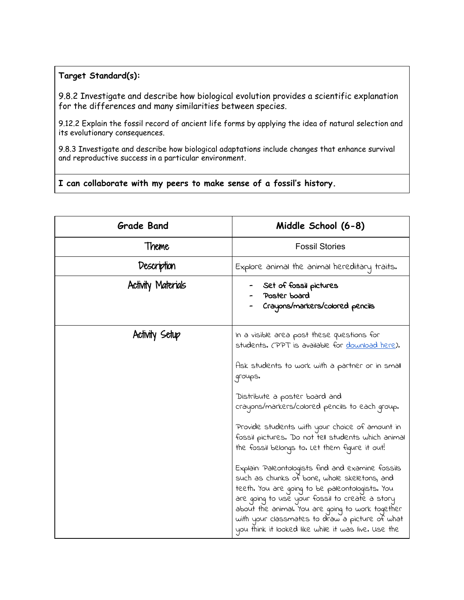## **Target Standard(s):**

9.8.2 Investigate and describe how biological evolution provides a scientific explanation for the differences and many similarities between species.

9.12.2 Explain the fossil record of ancient life forms by applying the idea of natural selection and its evolutionary consequences.

9.8.3 Investigate and describe how biological adaptations include changes that enhance survival and reproductive success in a particular environment.

## **I can collaborate with my peers to make sense of a fossil's history.**

| <b>Grade Band</b>         | Middle School (6-8)                                                                                                                                                                                                                                                                                                                                                                                                                                                                                                                                                                                                                                                                                                                                                                     |
|---------------------------|-----------------------------------------------------------------------------------------------------------------------------------------------------------------------------------------------------------------------------------------------------------------------------------------------------------------------------------------------------------------------------------------------------------------------------------------------------------------------------------------------------------------------------------------------------------------------------------------------------------------------------------------------------------------------------------------------------------------------------------------------------------------------------------------|
| Theme                     | <b>Fossil Stories</b>                                                                                                                                                                                                                                                                                                                                                                                                                                                                                                                                                                                                                                                                                                                                                                   |
| Description               | Explore animal the animal hereditary traits.                                                                                                                                                                                                                                                                                                                                                                                                                                                                                                                                                                                                                                                                                                                                            |
| <b>Activity Materials</b> | Set of fossil pictures<br>Poster board<br>Crayons/markers/colored pencils                                                                                                                                                                                                                                                                                                                                                                                                                                                                                                                                                                                                                                                                                                               |
| Activity Setup            | In a visible area post these questions for<br>students. (PPT is available for <u>download here</u> ).<br>Ask students to work with a partner or in small<br>groups.<br>Distribute a poster board and<br>crayons/markers/colored pencils to each group.<br>Provide students with your choice of amount in<br>fossil pictures. Do not tell students which animal<br>the fossil belongs to. Let them figure it out!<br>Explain: Paleontologists find and examine fossils<br>such as chunks of bone, whole skeletons, and<br>teeth. You are going to be paleontologists. You<br>are going to use your fossil to create a story<br>about the animal. You are going to work together<br>with your classmates to draw a picture of what<br>you think it looked like while it was live. Use the |